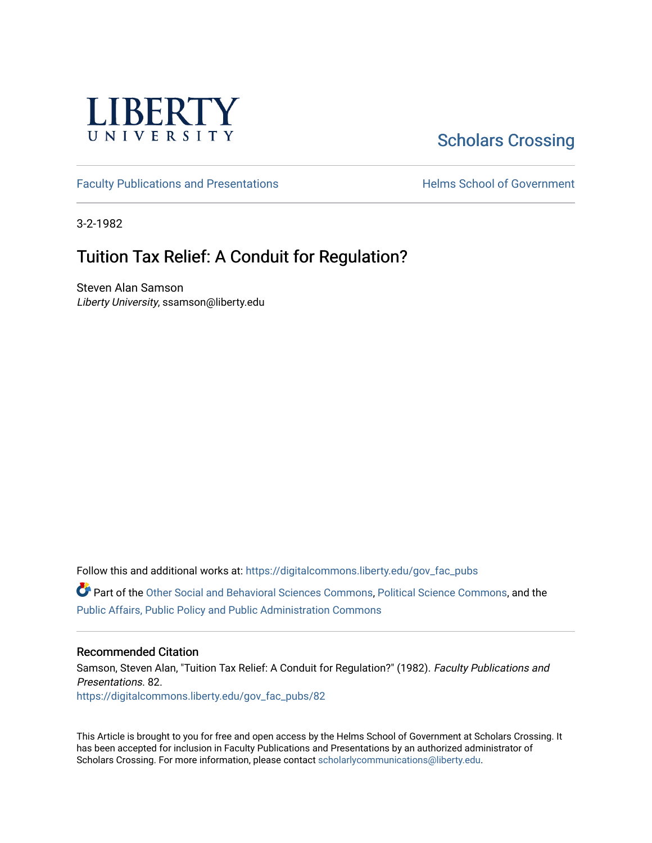

# [Scholars Crossing](https://digitalcommons.liberty.edu/)

[Faculty Publications and Presentations](https://digitalcommons.liberty.edu/gov_fac_pubs) **Exercise School of Government** 

3-2-1982

## Tuition Tax Relief: A Conduit for Regulation?

Steven Alan Samson Liberty University, ssamson@liberty.edu

Follow this and additional works at: [https://digitalcommons.liberty.edu/gov\\_fac\\_pubs](https://digitalcommons.liberty.edu/gov_fac_pubs?utm_source=digitalcommons.liberty.edu%2Fgov_fac_pubs%2F82&utm_medium=PDF&utm_campaign=PDFCoverPages)

Part of the [Other Social and Behavioral Sciences Commons](http://network.bepress.com/hgg/discipline/437?utm_source=digitalcommons.liberty.edu%2Fgov_fac_pubs%2F82&utm_medium=PDF&utm_campaign=PDFCoverPages), [Political Science Commons](http://network.bepress.com/hgg/discipline/386?utm_source=digitalcommons.liberty.edu%2Fgov_fac_pubs%2F82&utm_medium=PDF&utm_campaign=PDFCoverPages), and the [Public Affairs, Public Policy and Public Administration Commons](http://network.bepress.com/hgg/discipline/393?utm_source=digitalcommons.liberty.edu%2Fgov_fac_pubs%2F82&utm_medium=PDF&utm_campaign=PDFCoverPages)

#### Recommended Citation

Samson, Steven Alan, "Tuition Tax Relief: A Conduit for Regulation?" (1982). Faculty Publications and Presentations. 82. [https://digitalcommons.liberty.edu/gov\\_fac\\_pubs/82](https://digitalcommons.liberty.edu/gov_fac_pubs/82?utm_source=digitalcommons.liberty.edu%2Fgov_fac_pubs%2F82&utm_medium=PDF&utm_campaign=PDFCoverPages) 

This Article is brought to you for free and open access by the Helms School of Government at Scholars Crossing. It has been accepted for inclusion in Faculty Publications and Presentations by an authorized administrator of Scholars Crossing. For more information, please contact [scholarlycommunications@liberty.edu.](mailto:scholarlycommunications@liberty.edu)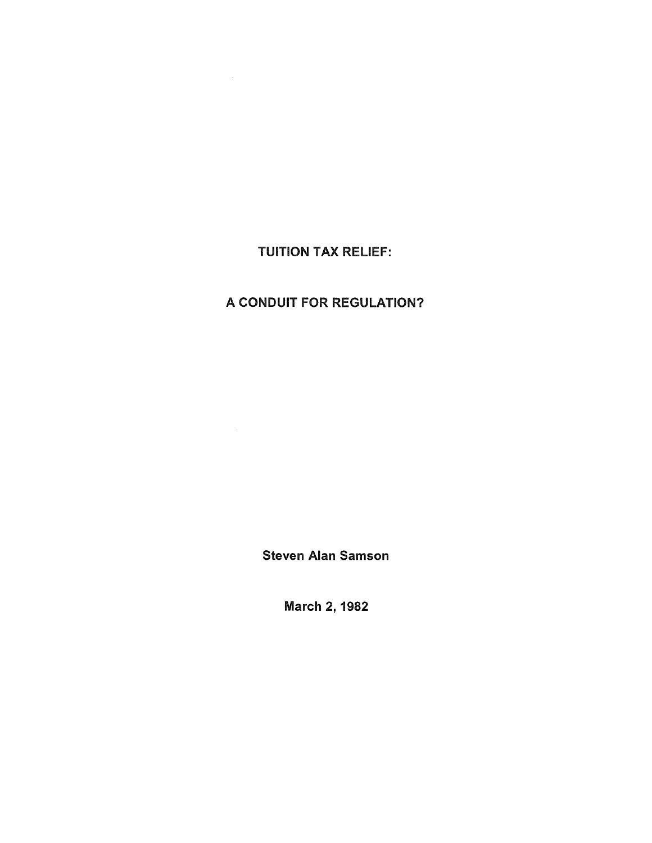### TUITION TAX RELIEF:

 $\Delta \sim 10^{11}$ 

### A CONDUIT FOR REGULATION?

Steven Alan Samson

March 2, 1982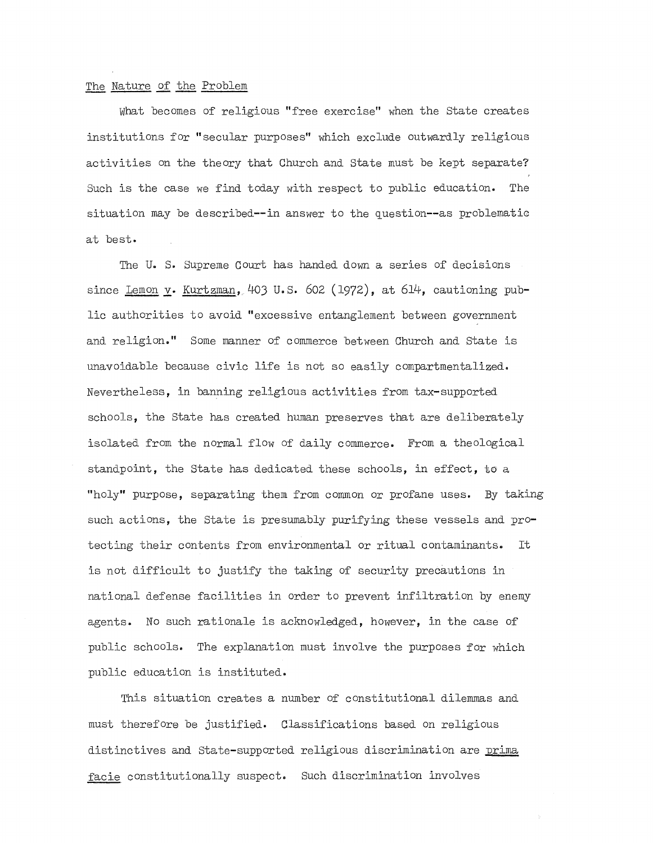#### The Nature of the Problem

What becomes of religious "free exercise" when the state creates institutions for "secular purposes" which exclude outwardly religious activities on the theory that Church and state must be kept separate? Such is the case we find today with respect to public education. The  $s$ ituation may be described--in answer to the question--as problematic at best.

The U. S. Supreme Court has handed down a series of decisions since Lemon **y.** Kurtzman, 403 u.s. 602 (1972), at 614, cautioning public authorities to avoid "excessive entanglement between government and religion." Some manner of commerce between Church and State is unavoidable because civic life is not so easily compartmentalized. Nevertheless, in banning religious activities from tax-supported schools, the State has created human preserves that are deliberately isolated from the normal flow of daily commerce. From a theological standpoint, the state has dedicated these schools, in effect, to a "holy" purpose, separating them from common or profane uses. By taking such actions, the State is presumably purifying these vessels and protecting their contents from environmental or ritual contaminants. It is not difficult to justify the taking of security precautions in national defense facilities in order to prevent infiltration by enemy agents. No such rationale is acknowledged, however, in the case of public schools. The explanation must involve the purposes for which public education is instituted.

This situation creates a number of constitutional dilemmas and must therefore be justified. Classifications based on religious distinctives and State-supported religious discrimination are prima facie constitutionally suspect. Such discrimination involves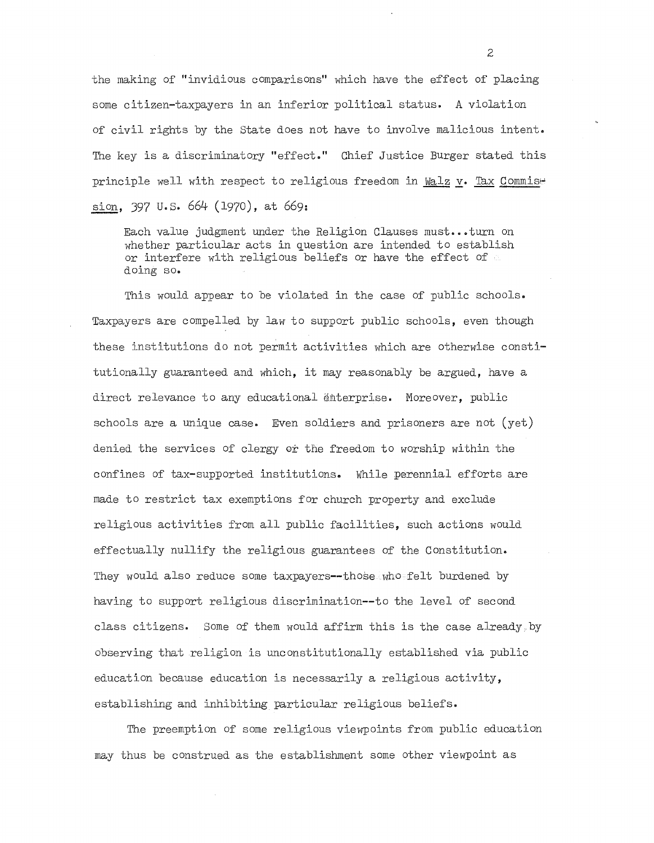the making of "invidious comparisons" which have the effect of placing some citizen-taxpayers in an inferior political status. A violation of civil rights by the state does not have to involve malicious intent. The key is a discriminatory "effect." Chief Justice Burger stated this principle well with respect to religious freedom in Walz v. Tax Commise sion, 397 u.s. 664 (1970), at 669:

Each value judgment under the Religion Clauses must...turn on whether particular acts in question are intended to establish or interfere with religious beliefs or have the effect of doing so.

This would appear to be violated in the case of public schools. Taxpayers are compelled by law to support public schools, even though these institutions do not permit activities which are otherwise constitutionally guaranteed and which, it may reasonably be argued, have a direct relevance to any educational enterprise. Moreover, public schools are a unique case. Even soldiers and prisoners are not  $(yet)$ denied the services of clergy or the freedom to worship within the confines of tax-supported institutions. While perennial efforts are made to restrict tax exemptions for church property and exclude religious activities from all public facilities, such actions would effectually nullify the religious guarantees of the Constitution. They would also reduce some taxpayers--those who felt burdened by having to support religious discrimination--to the level of second class citizens. Some of them would affirm this is the case already. by observing that religion is unconstitutionally established via public education because education is necessarily a religious activity, establishing and inhibiting particular religious beliefs.

The preemption of some religious viewpoints from public education may thus be construed as the establishment some other viewpoint as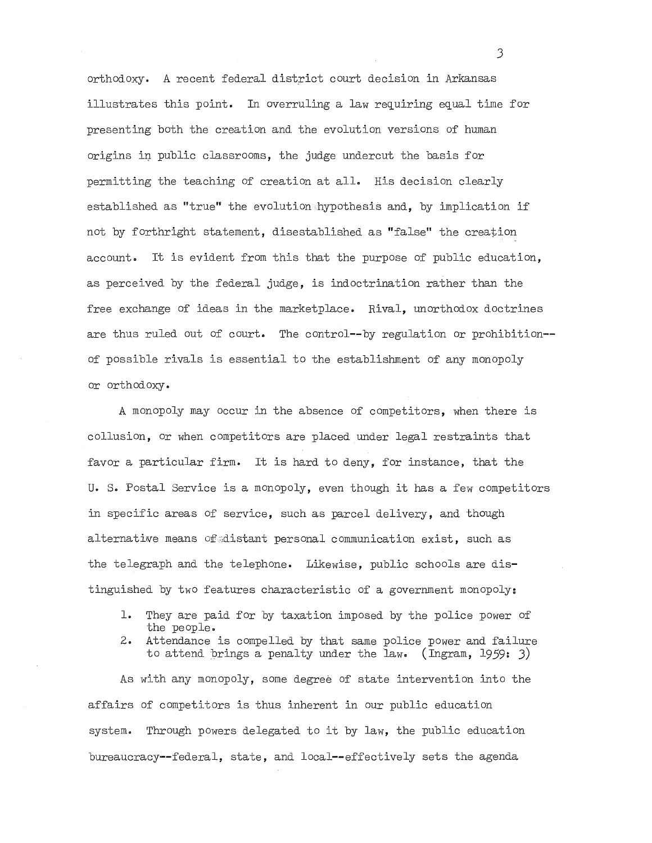orthodoxy. A recent federal district court decision in Arkansas illustrates this point. In overruling a law requiring equal time for presenting both the creation and the evolution versions of human origins in public classrooms, the judge undercut the basis for permitting the teaching of creation at all. His decision clearly established as "true" the evolution hypothesis and, by implication if not by forthright statement, disestablished as "false" the creation account. It is evident from this that the purpose of public education, as perceived by the federal judge, is indoctrination rather than the free exchange of ideas in the marketplace. Rival, unorthodox doctrines are thus ruled out of court. The control--by regulation or prohibition- of possible rivals is essential to the establishment of any monopoly or orthodoxy.

A monopoly may occur in the absence of competitors, when there is collusion, or when competitors are placed under legal restraints that favor a particular firm. It is hard to deny, for instance, that the u. S. Postal Service is a monopoly, even though it has a few competitors in specific areas of service, such as parcel delivery, and though alternative means of distant personal communication exist, such as the telegraph and the telephone. Likewise, public schools are distinguished by two features characteristic of a government monopoly:

- 1. They are paid for by taxation imposed by the police power of the people.
- 2. Attendance is compelled by that same police power and failure to attend brings a penalty under the law. (Ingram, 1959: J)

As with any monopoly, some degree of state intervention into the affairs of competitors is thus inherent in our public education system. Through powers delegated to it by law, the public education bureaucracy--federal, state, and local--effectively sets the agenda

J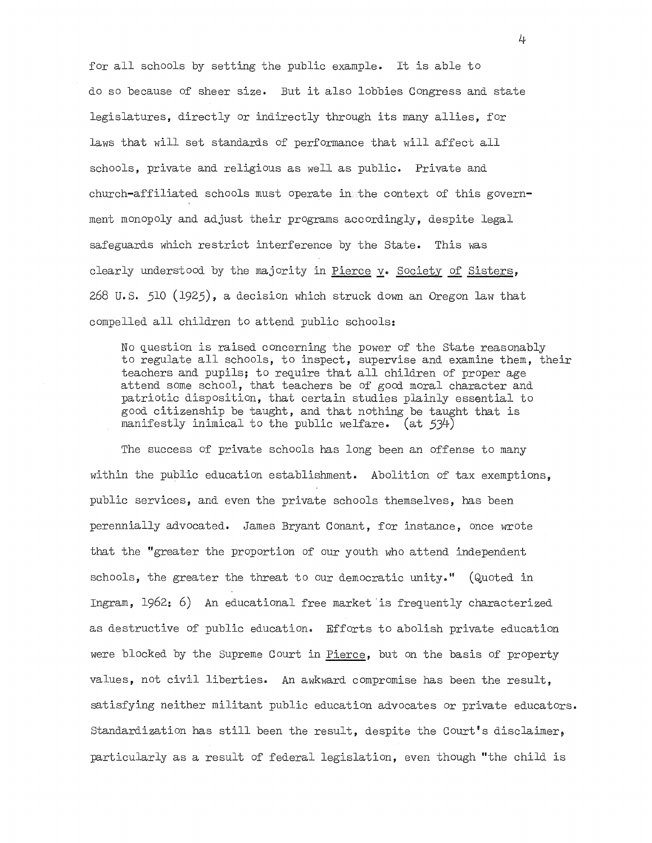for all schools by setting the public example. It is able to do so because of sheer size. But it also lobbies Congress and state legislatures, directly or indirectly through its many allies, for laws that will set standards of performance that will affect all schools, private and religious as well as public. Private and church-affiliated schools must operate in the context of this government monopoly and adjust their programs accordingly, despite legal safeguards which restrict interference by the State. This was clearly understood by the majority in Pierce y. Society of Sisters, 268 U.S. 510 (1925), a decision which struck down an Oregon law that compelled all children to attend public schools:

No question is raised concerning the power of the State reasonably to regulate all schools, to inspect, supervise and examine them, their teachers and pupils; to require that all children of proper age attend some school, that teachers be of good moral character and patriotic disposition, that certain studies plainly essential to good citizenship be taught, and that nothing be taught that is manifestly inimical to the public welfare. (at 534)

The success of private schools has long been an offense to many within the public education establishment. Abolition of tax exemptions, public services, and even the private schools themselves, has been perennially advocated. James Bryant Conant, for instance, once wrote that the "greater the proportion of our youth who attend independent schools, the greater the threat to our democratic unity." (Quoted in Ingram, 1962: 6) An educational free market is frequently characterized as destructive of public education. Efforts to abolish private education were blocked by the Supreme Court in Pierce, but on the basis of property values, not civil liberties. An awkward compromise has been the result, satisfying neither militant public education advocates or private educators. Standardization has still been the result, despite the Court's disclaimer, particularly as a result of federal legislation, even though "the child is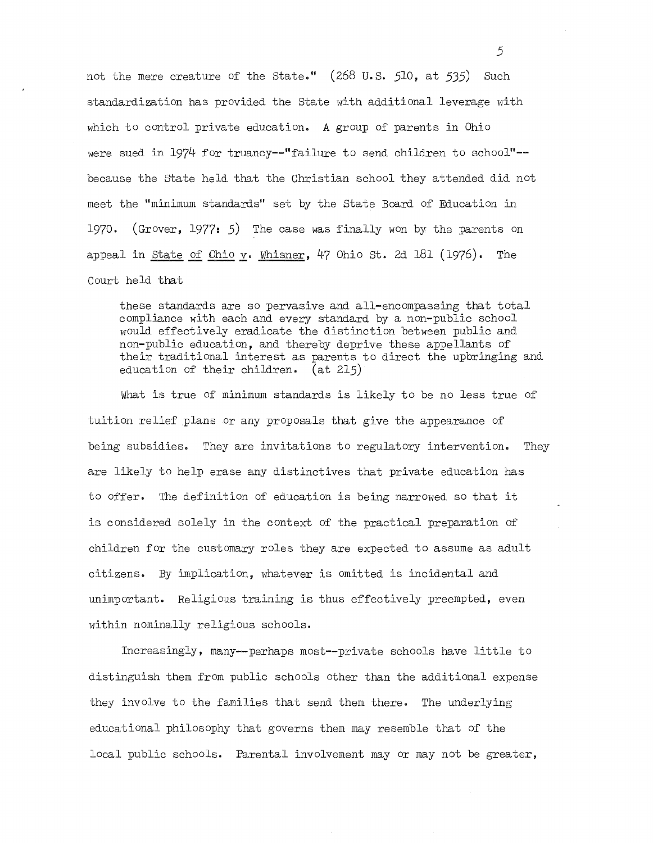not the mere creature of the state." (268 **U.s.** 510, at 535) Such standardization has provided the state with additional leverage with which to control private education. A group of parents in Ohio were sued in 1974 for truancy--"failure to send children to school"- because the state held that the Christian school they attended did not meet the "minimum standards" set by the State Board of Education in 1970. (Grover, 1977: 5) The case was finally won by the parents on appeal in state of Ohio **y.** Whisner, 47 Ohio st. 2d 181 (1976). The Court held that

these standards are so pervasive and all-encompassing that total compliance with each and every standard by a non-public school would effectively eradicate the distinction between public and non-public education, and thereby deprive these appellants of their traditional interest as parents to direct the upbringing and education of their children. (at 215)

What is true of minimum standards is likely to be no less true of tuition relief plans or any proposals that give the appearance of being subsidies. They are invitations to regulatory intervention. They are likely to help erase any distinctives that private education has to offer. The definition of education is being narrowed so that it is considered sOlely in the context of the practical preparation of children for the customary roles they are expected to assume as adult citizens. By implication, whatever is omitted is incidental and unimportant. Religious training is thus effectively preempted, even within nominally religious schools.

Increasingly, many--perhaps most--private schools have little to distinguish them from public schools other than the additional expense they involve to the families that send them there. The underlying educational philosophy that governs them may resemble that of the local public schools. Parental involvement mayor may not be greater,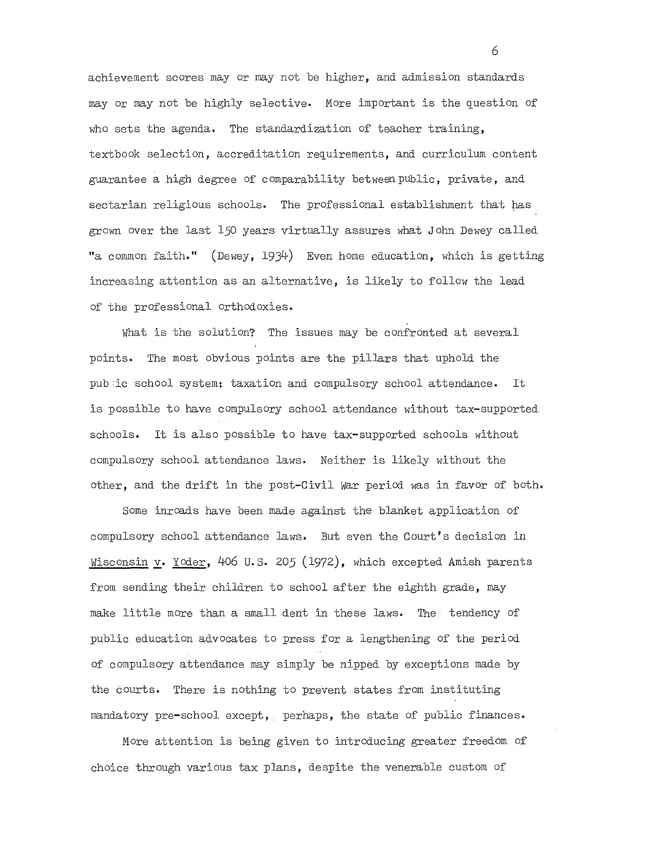achievement scores mayor may not be higher, and admission standards may or may not be highly selective. More important is the question of who sets the agenda. The standardization of teacher training, textbook selection, accreditation requirements, and curriculum content guarantee a high degree of comparability between pUblic, private, and sectarian religious schools. The professional establishment that has grown over the last 150 years virtually assures what John Dewey called "a common faith." (Dewey, 1934) Even home education, which is getting increasing attention as an alternative, is likely to follow the lead of the professional orthodoxies.

What is the solution? The issues may be confronted at several points. The most obvious points are the pillars that uphold the pubic school system: taxation and compulsory school attendance. It is possible to have compulsory school attendance without tax-supported schools. It is also possible to have tax-supported schools without compulsory school attendance laws. Neither is likely without the other, and the drift in the post-Civil War period was in favor of both.

Some inroads have been made against the blanket application of compulsory school attendance laws. But even the Court's decision in Wisconsin y. Yoder, 406 U.S. 205 (1972), which excepted Amish parents from sending their children to school after the eighth grade, may make little more than a small dent in these laws. The tendency of public education advocates to press for a lengthening of the period of compulsory attendance may simply be nipped by exceptions made by the Courts. There is nothing to prevent states from instituting mandatory pre-school except, perhaps, the state of public finances.

More attention is being given to introducing greater freedom of choice through various tax plans, despite the venerable custom of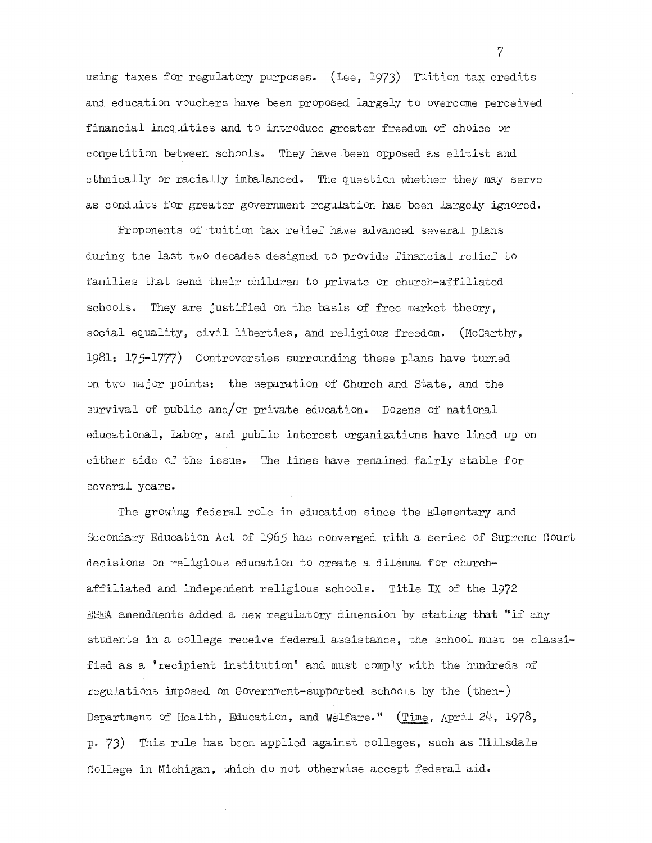using taxes for regulatory purposes. (Lee, 1973) Tuition tax credits and education vouchers have been proposed largely to overcome perceived financial inequities and to introduce greater freedom of choice or competition between schools. They have been opposed as elitist and ethnically or racially imbalanced. The question whether they may serve as conduits for greater government regulation has been largely ignored.

Proponents of tuition tax relief have advanced several plans during the last two decades designed to provide financial relief to families that send their children to private or church-affiliated schools. They are justified on the basis of free market theory, social equality, civil liberties, and religious freedom. (McCarthy, 1981: 175-1777) Controversies surrounding these plans have turned on two major points: the separation of Church and state, and the survival of public and/or private education. Dozens of national educational, labor, and public interest organizations have lined up on either side of the issue. The lines have remained fairly stable for several years.

The growing federal role in education since the Elementary and Secondary Education Act of 1965 has converged with a series of Supreme Court decisions on religious education to create a dilemma for churchaffiliated and independent religious schools. Title IX of the 1972 ESEA amendments added a new regulatory dimension by stating that "if any students in a college receive federal assistance, the school must be classified as a 'recipient institution' and must comply with the hundreds of regulations imposed on Government-supported schools by the (then-) Department of Health, Education, and Welfare." (Time, April 24, 1978, p. 73) This rule has been applied against colleges, such as Hillsdale College in Michigan, which do not otherwise accept federal aid.